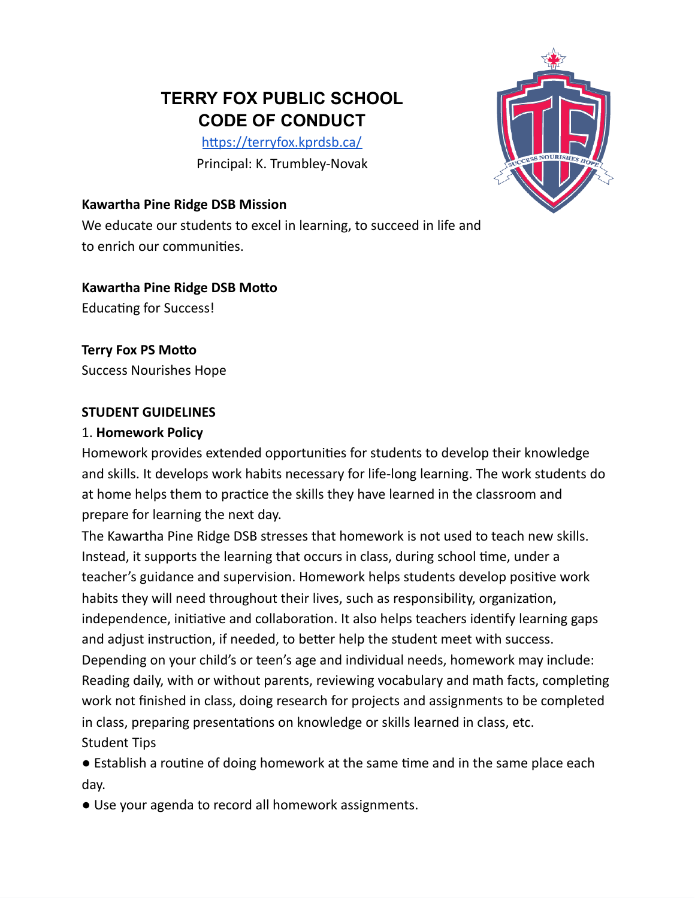# **TERRY FOX PUBLIC SCHOOL CODE OF CONDUCT**

<https://terryfox.kprdsb.ca/> Principal: K. Trumbley-Novak

#### **Kawartha Pine Ridge DSB Mission**

We educate our students to excel in learning, to succeed in life and to enrich our communities.

**Kawartha Pine Ridge DSB Motto**

Educating for Success!

**Terry Fox PS Motto** Success Nourishes Hope

#### **STUDENT GUIDELINES**

#### 1. **Homework Policy**

Homework provides extended opportunities for students to develop their knowledge and skills. It develops work habits necessary for life-long learning. The work students do at home helps them to practice the skills they have learned in the classroom and prepare for learning the next day.

The Kawartha Pine Ridge DSB stresses that homework is not used to teach new skills. Instead, it supports the learning that occurs in class, during school time, under a teacher's guidance and supervision. Homework helps students develop positive work habits they will need throughout their lives, such as responsibility, organization, independence, initiative and collaboration. It also helps teachers identify learning gaps and adjust instruction, if needed, to better help the student meet with success. Depending on your child's or teen's age and individual needs, homework may include: Reading daily, with or without parents, reviewing vocabulary and math facts, completing work not finished in class, doing research for projects and assignments to be completed in class, preparing presentations on knowledge or skills learned in class, etc. Student Tips

● Establish a routine of doing homework at the same time and in the same place each day.

● Use your agenda to record all homework assignments.

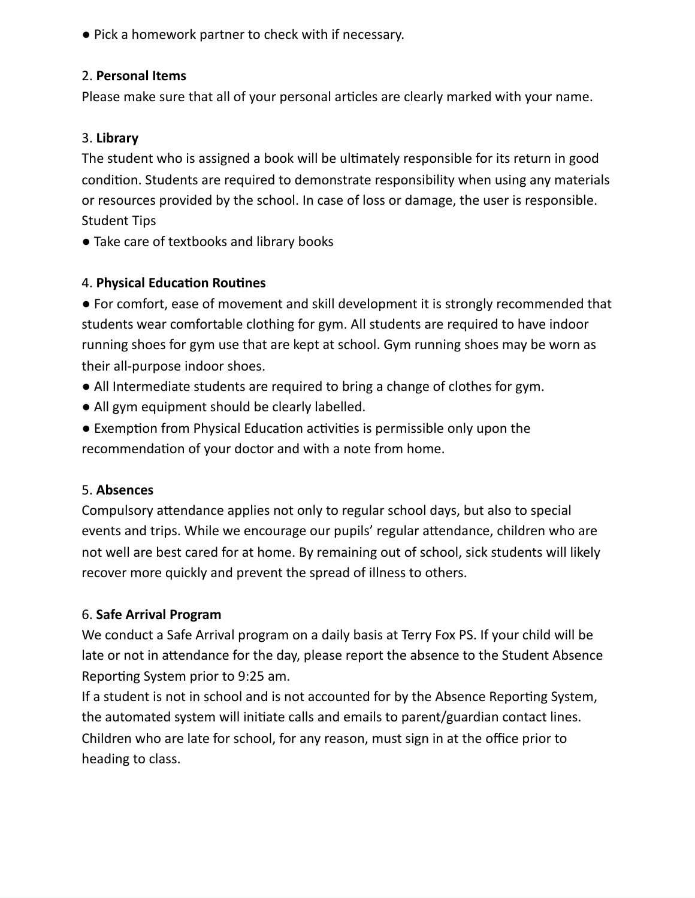● Pick a homework partner to check with if necessary.

#### 2. **Personal Items**

Please make sure that all of your personal articles are clearly marked with your name.

### 3. **Library**

The student who is assigned a book will be ultimately responsible for its return in good condition. Students are required to demonstrate responsibility when using any materials or resources provided by the school. In case of loss or damage, the user is responsible. Student Tips

• Take care of textbooks and library books

#### 4. **Physical Education Routines**

● For comfort, ease of movement and skill development it is strongly recommended that students wear comfortable clothing for gym. All students are required to have indoor running shoes for gym use that are kept at school. Gym running shoes may be worn as their all-purpose indoor shoes.

- All Intermediate students are required to bring a change of clothes for gym.
- All gym equipment should be clearly labelled.
- Exemption from Physical Education activities is permissible only upon the recommendation of your doctor and with a note from home.

## 5. **Absences**

Compulsory attendance applies not only to regular school days, but also to special events and trips. While we encourage our pupils' regular attendance, children who are not well are best cared for at home. By remaining out of school, sick students will likely recover more quickly and prevent the spread of illness to others.

## 6. **Safe Arrival Program**

We conduct a Safe Arrival program on a daily basis at Terry Fox PS. If your child will be late or not in attendance for the day, please report the absence to the Student Absence Reporting System prior to 9:25 am.

If a student is not in school and is not accounted for by the Absence Reporting System, the automated system will initiate calls and emails to parent/guardian contact lines. Children who are late for school, for any reason, must sign in at the office prior to heading to class.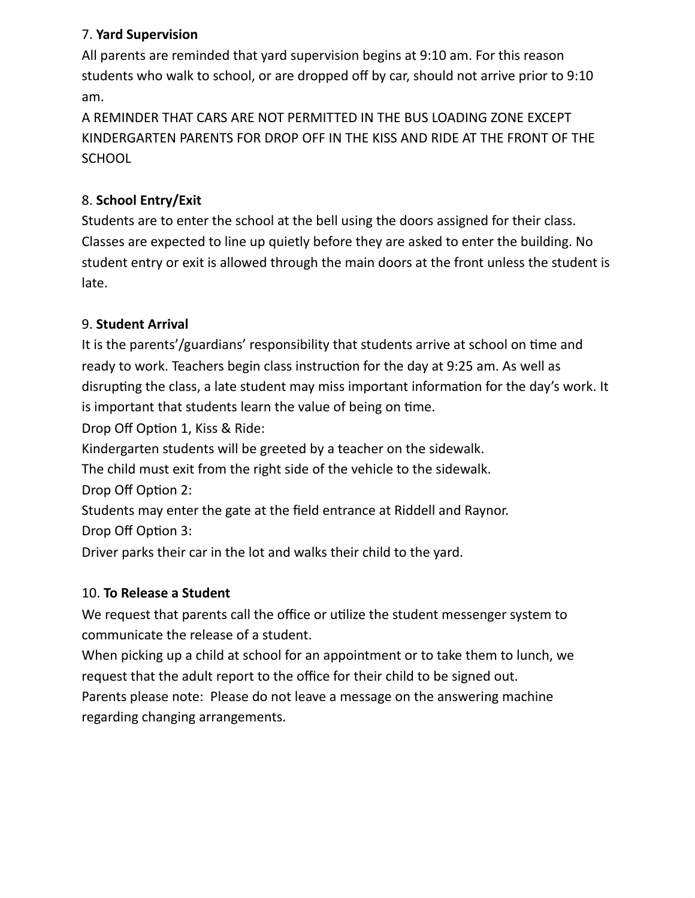## 7. **Yard Supervision**

All parents are reminded that yard supervision begins at 9:10 am. For this reason students who walk to school, or are dropped off by car, should not arrive prior to 9:10 am.

A REMINDER THAT CARS ARE NOT PERMITTED IN THE BUS LOADING ZONE EXCEPT KINDERGARTEN PARENTS FOR DROP OFF IN THE KISS AND RIDE AT THE FRONT OF THE **SCHOOL** 

## 8. **School Entry/Exit**

Students are to enter the school at the bell using the doors assigned for their class. Classes are expected to line up quietly before they are asked to enter the building. No student entry or exit is allowed through the main doors at the front unless the student is late.

## 9. **Student Arrival**

It is the parents'/guardians' responsibility that students arrive at school on time and ready to work. Teachers begin class instruction for the day at 9:25 am. As well as disrupting the class, a late student may miss important information for the day's work. It is important that students learn the value of being on time.

Drop Off Option 1, Kiss & Ride:

Kindergarten students will be greeted by a teacher on the sidewalk.

The child must exit from the right side of the vehicle to the sidewalk.

Drop Off Option 2:

Students may enter the gate at the field entrance at Riddell and Raynor. Drop Off Option 3:

Driver parks their car in the lot and walks their child to the yard.

## 10. **To Release a Student**

We request that parents call the office or utilize the student messenger system to communicate the release of a student.

When picking up a child at school for an appointment or to take them to lunch, we request that the adult report to the office for their child to be signed out.

Parents please note: Please do not leave a message on the answering machine regarding changing arrangements.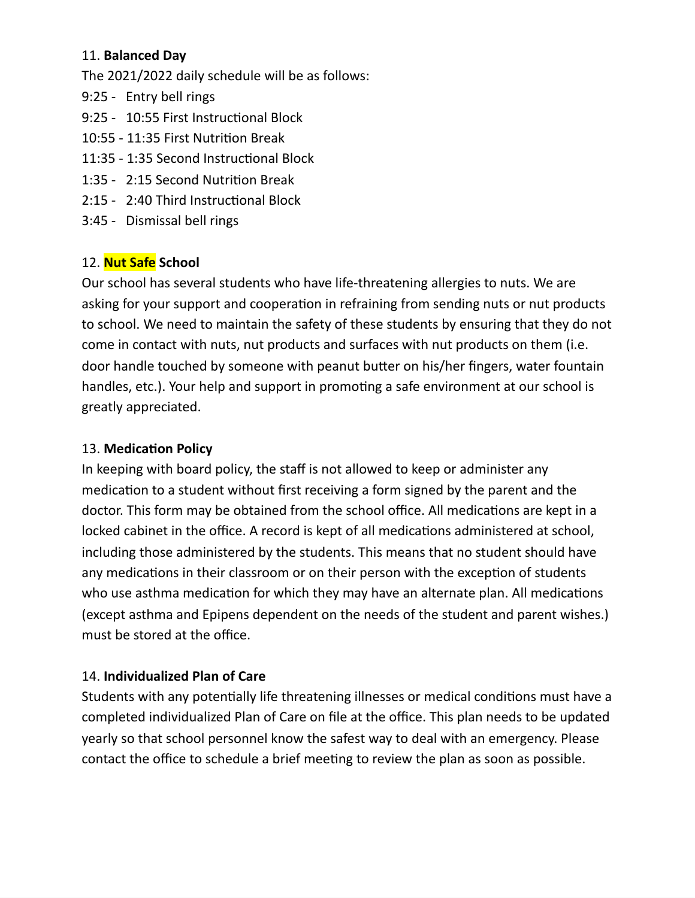#### 11. **Balanced Day**

The 2021/2022 daily schedule will be as follows:

- 9:25 Entry bell rings
- 9:25 10:55 First Instructional Block
- 10:55 11:35 First Nutrition Break
- 11:35 1:35 Second Instructional Block
- 1:35 2:15 Second Nutrition Break
- 2:15 2:40 Third Instructional Block
- 3:45 Dismissal bell rings

# 12. **Nut Safe School**

Our school has several students who have life-threatening allergies to nuts. We are asking for your support and cooperation in refraining from sending nuts or nut products to school. We need to maintain the safety of these students by ensuring that they do not come in contact with nuts, nut products and surfaces with nut products on them (i.e. door handle touched by someone with peanut butter on his/her fingers, water fountain handles, etc.). Your help and support in promoting a safe environment at our school is greatly appreciated.

## 13. **Medication Policy**

In keeping with board policy, the staff is not allowed to keep or administer any medication to a student without first receiving a form signed by the parent and the doctor. This form may be obtained from the school office. All medications are kept in a locked cabinet in the office. A record is kept of all medications administered at school, including those administered by the students. This means that no student should have any medications in their classroom or on their person with the exception of students who use asthma medication for which they may have an alternate plan. All medications (except asthma and Epipens dependent on the needs of the student and parent wishes.) must be stored at the office.

# 14. **Individualized Plan of Care**

Students with any potentially life threatening illnesses or medical conditions must have a completed individualized Plan of Care on file at the office. This plan needs to be updated yearly so that school personnel know the safest way to deal with an emergency. Please contact the office to schedule a brief meeting to review the plan as soon as possible.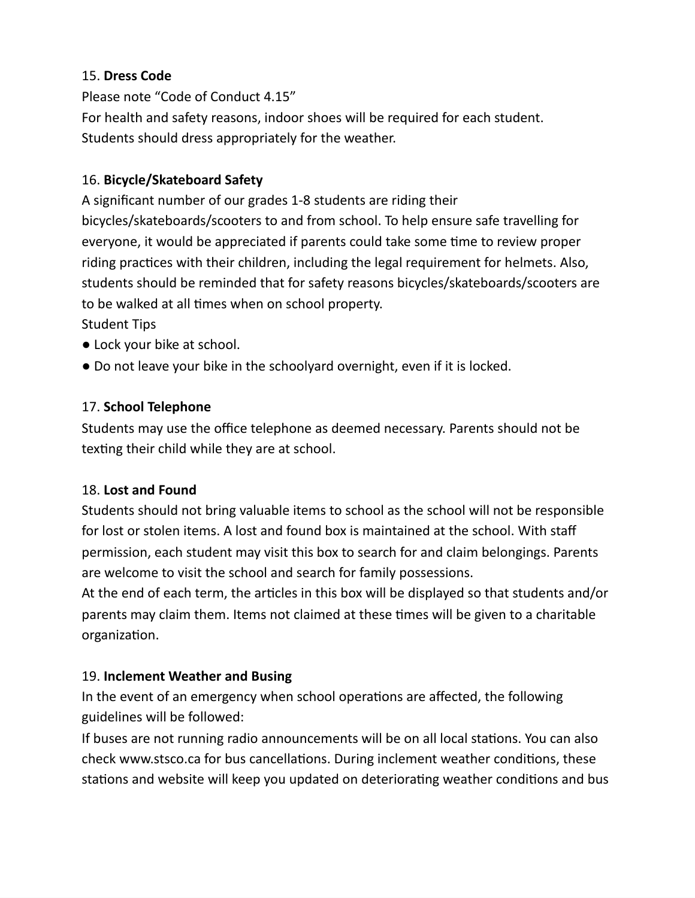## 15. **Dress Code**

Please note "Code of Conduct 4.15" For health and safety reasons, indoor shoes will be required for each student. Students should dress appropriately for the weather.

## 16. **Bicycle/Skateboard Safety**

A significant number of our grades 1-8 students are riding their bicycles/skateboards/scooters to and from school. To help ensure safe travelling for everyone, it would be appreciated if parents could take some time to review proper riding practices with their children, including the legal requirement for helmets. Also, students should be reminded that for safety reasons bicycles/skateboards/scooters are to be walked at all times when on school property.

Student Tips

- Lock your bike at school.
- Do not leave your bike in the schoolyard overnight, even if it is locked.

## 17. **School Telephone**

Students may use the office telephone as deemed necessary. Parents should not be texting their child while they are at school.

## 18. **Lost and Found**

Students should not bring valuable items to school as the school will not be responsible for lost or stolen items. A lost and found box is maintained at the school. With staff permission, each student may visit this box to search for and claim belongings. Parents are welcome to visit the school and search for family possessions.

At the end of each term, the articles in this box will be displayed so that students and/or parents may claim them. Items not claimed at these times will be given to a charitable organization.

# 19. **Inclement Weather and Busing**

In the event of an emergency when school operations are affected, the following guidelines will be followed:

If buses are not running radio announcements will be on all local stations. You can also check www.stsco.ca for bus cancellations. During inclement weather conditions, these stations and website will keep you updated on deteriorating weather conditions and bus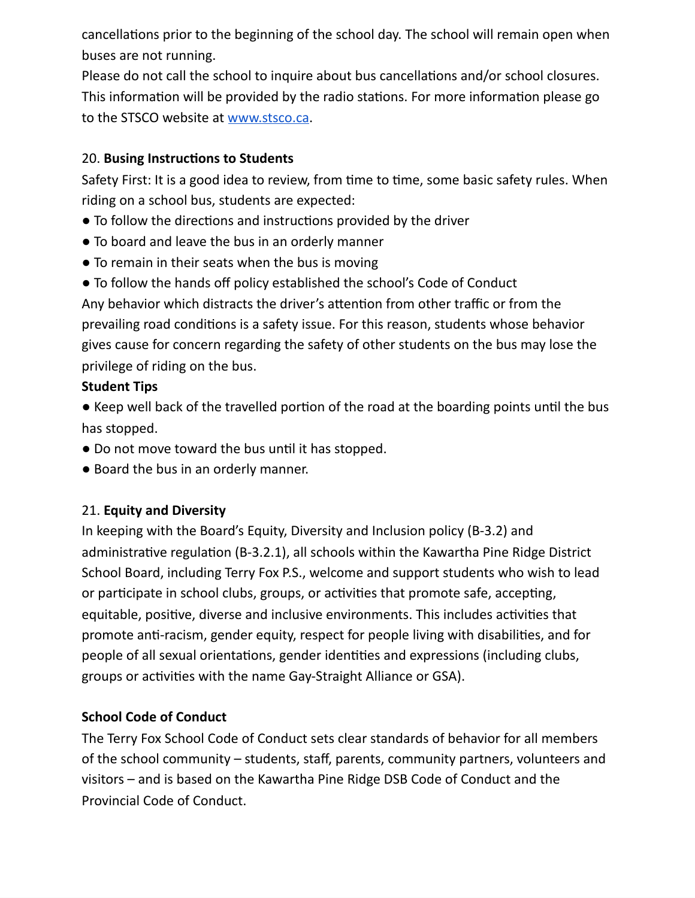cancellations prior to the beginning of the school day. The school will remain open when buses are not running.

Please do not call the school to inquire about bus cancellations and/or school closures. This information will be provided by the radio stations. For more information please go to the STSCO website at [www.stsco.ca](http://www.stsco.ca/).

### 20. **Busing Instructions to Students**

Safety First: It is a good idea to review, from time to time, some basic safety rules. When riding on a school bus, students are expected:

- To follow the directions and instructions provided by the driver
- To board and leave the bus in an orderly manner
- To remain in their seats when the bus is moving
- To follow the hands off policy established the school's Code of Conduct

Any behavior which distracts the driver's attention from other traffic or from the prevailing road conditions is a safety issue. For this reason, students whose behavior gives cause for concern regarding the safety of other students on the bus may lose the privilege of riding on the bus.

## **Student Tips**

● Keep well back of the travelled portion of the road at the boarding points until the bus has stopped.

- Do not move toward the bus until it has stopped.
- Board the bus in an orderly manner.

# 21. **Equity and Diversity**

In keeping with the Board's Equity, Diversity and Inclusion policy (B-3.2) and administrative regulation (B-3.2.1), all schools within the Kawartha Pine Ridge District School Board, including Terry Fox P.S., welcome and support students who wish to lead or participate in school clubs, groups, or activities that promote safe, accepting, equitable, positive, diverse and inclusive environments. This includes activities that promote anti-racism, gender equity, respect for people living with disabilities, and for people of all sexual orientations, gender identities and expressions (including clubs, groups or activities with the name Gay-Straight Alliance or GSA).

# **School Code of Conduct**

The Terry Fox School Code of Conduct sets clear standards of behavior for all members of the school community – students, staff, parents, community partners, volunteers and visitors – and is based on the Kawartha Pine Ridge DSB Code of Conduct and the Provincial Code of Conduct.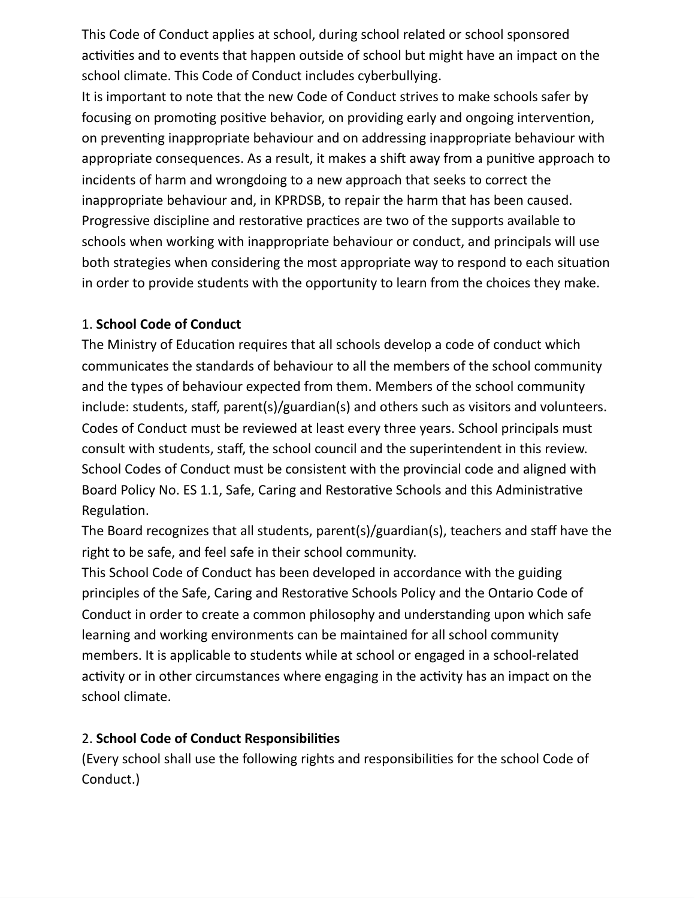This Code of Conduct applies at school, during school related or school sponsored activities and to events that happen outside of school but might have an impact on the school climate. This Code of Conduct includes cyberbullying.

It is important to note that the new Code of Conduct strives to make schools safer by focusing on promoting positive behavior, on providing early and ongoing intervention, on preventing inappropriate behaviour and on addressing inappropriate behaviour with appropriate consequences. As a result, it makes a shift away from a punitive approach to incidents of harm and wrongdoing to a new approach that seeks to correct the inappropriate behaviour and, in KPRDSB, to repair the harm that has been caused. Progressive discipline and restorative practices are two of the supports available to schools when working with inappropriate behaviour or conduct, and principals will use both strategies when considering the most appropriate way to respond to each situation in order to provide students with the opportunity to learn from the choices they make.

#### 1. **School Code of Conduct**

The Ministry of Education requires that all schools develop a code of conduct which communicates the standards of behaviour to all the members of the school community and the types of behaviour expected from them. Members of the school community include: students, staff, parent(s)/guardian(s) and others such as visitors and volunteers. Codes of Conduct must be reviewed at least every three years. School principals must consult with students, staff, the school council and the superintendent in this review. School Codes of Conduct must be consistent with the provincial code and aligned with Board Policy No. ES 1.1, Safe, Caring and Restorative Schools and this Administrative Regulation.

The Board recognizes that all students, parent(s)/guardian(s), teachers and staff have the right to be safe, and feel safe in their school community.

This School Code of Conduct has been developed in accordance with the guiding principles of the Safe, Caring and Restorative Schools Policy and the Ontario Code of Conduct in order to create a common philosophy and understanding upon which safe learning and working environments can be maintained for all school community members. It is applicable to students while at school or engaged in a school-related activity or in other circumstances where engaging in the activity has an impact on the school climate.

#### 2. **School Code of Conduct Responsibilities**

(Every school shall use the following rights and responsibilities for the school Code of Conduct.)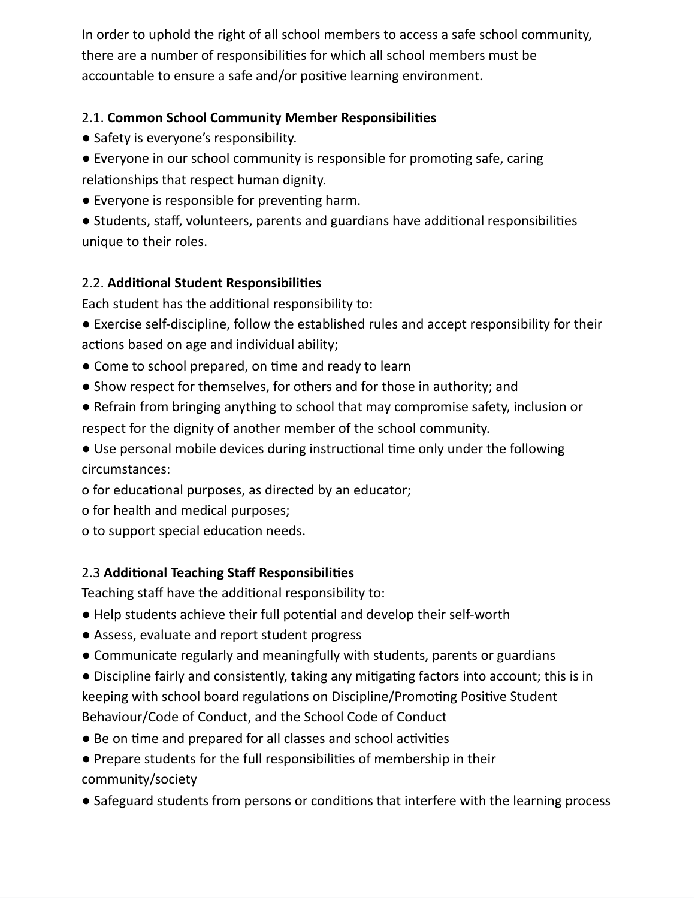In order to uphold the right of all school members to access a safe school community, there are a number of responsibilities for which all school members must be accountable to ensure a safe and/or positive learning environment.

## 2.1. **Common School Community Member Responsibilities**

- Safety is everyone's responsibility.
- Everyone in our school community is responsible for promoting safe, caring relationships that respect human dignity.
- Everyone is responsible for preventing harm.

● Students, staff, volunteers, parents and guardians have additional responsibilities unique to their roles.

## 2.2. **Additional Student Responsibilities**

Each student has the additional responsibility to:

- Exercise self-discipline, follow the established rules and accept responsibility for their actions based on age and individual ability;
- Come to school prepared, on time and ready to learn
- Show respect for themselves, for others and for those in authority; and
- Refrain from bringing anything to school that may compromise safety, inclusion or respect for the dignity of another member of the school community.

● Use personal mobile devices during instructional time only under the following circumstances:

- o for educational purposes, as directed by an educator;
- o for health and medical purposes;
- o to support special education needs.

# 2.3 **Additional Teaching Staff Responsibilities**

Teaching staff have the additional responsibility to:

- Help students achieve their full potential and develop their self-worth
- Assess, evaluate and report student progress
- Communicate regularly and meaningfully with students, parents or guardians
- Discipline fairly and consistently, taking any mitigating factors into account; this is in keeping with school board regulations on Discipline/Promoting Positive Student Behaviour/Code of Conduct, and the School Code of Conduct
- Be on time and prepared for all classes and school activities
- Prepare students for the full responsibilities of membership in their community/society
- Safeguard students from persons or conditions that interfere with the learning process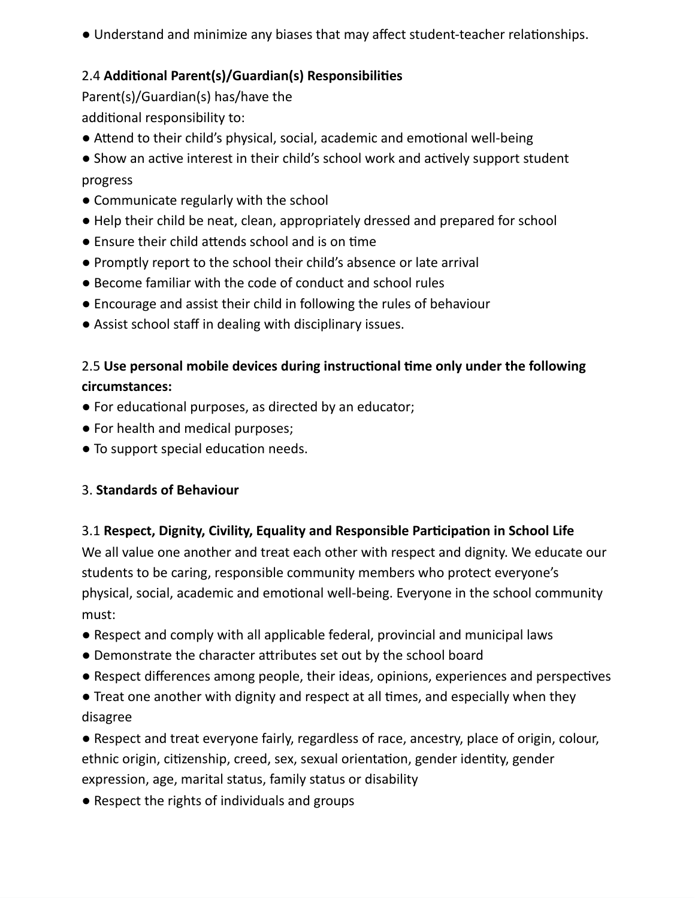● Understand and minimize any biases that may affect student-teacher relationships.

# 2.4 **Additional Parent(s)/Guardian(s) Responsibilities**

Parent(s)/Guardian(s) has/have the additional responsibility to:

- Attend to their child's physical, social, academic and emotional well-being
- Show an active interest in their child's school work and actively support student progress
- Communicate regularly with the school
- Help their child be neat, clean, appropriately dressed and prepared for school
- Ensure their child attends school and is on time
- Promptly report to the school their child's absence or late arrival
- Become familiar with the code of conduct and school rules
- Encourage and assist their child in following the rules of behaviour
- Assist school staff in dealing with disciplinary issues.

# 2.5 **Use personal mobile devices during instructional time only under the following circumstances:**

- For educational purposes, as directed by an educator;
- For health and medical purposes;
- To support special education needs.

# 3. **Standards of Behaviour**

# 3.1 **Respect, Dignity, Civility, Equality and Responsible Participation in School Life**

We all value one another and treat each other with respect and dignity. We educate our students to be caring, responsible community members who protect everyone's physical, social, academic and emotional well-being. Everyone in the school community must:

- Respect and comply with all applicable federal, provincial and municipal laws
- Demonstrate the character attributes set out by the school board
- Respect differences among people, their ideas, opinions, experiences and perspectives
- Treat one another with dignity and respect at all times, and especially when they disagree

● Respect and treat everyone fairly, regardless of race, ancestry, place of origin, colour, ethnic origin, citizenship, creed, sex, sexual orientation, gender identity, gender expression, age, marital status, family status or disability

● Respect the rights of individuals and groups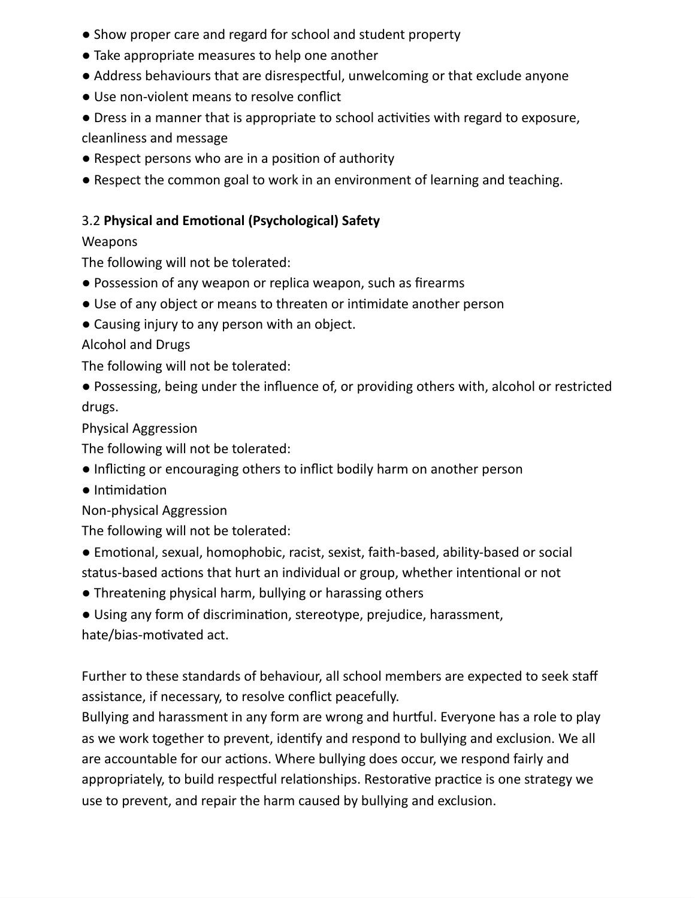- Show proper care and regard for school and student property
- Take appropriate measures to help one another
- Address behaviours that are disrespectful, unwelcoming or that exclude anyone
- Use non-violent means to resolve conflict
- Dress in a manner that is appropriate to school activities with regard to exposure, cleanliness and message
- Respect persons who are in a position of authority
- Respect the common goal to work in an environment of learning and teaching.

# 3.2 **Physical and Emotional (Psychological) Safety**

## Weapons

The following will not be tolerated:

- Possession of any weapon or replica weapon, such as firearms
- Use of any object or means to threaten or intimidate another person
- Causing injury to any person with an object.

Alcohol and Drugs

The following will not be tolerated:

● Possessing, being under the influence of, or providing others with, alcohol or restricted drugs.

Physical Aggression

The following will not be tolerated:

- Inflicting or encouraging others to inflict bodily harm on another person
- Intimidation

Non-physical Aggression

The following will not be tolerated:

- Emotional, sexual, homophobic, racist, sexist, faith-based, ability-based or social status-based actions that hurt an individual or group, whether intentional or not
- Threatening physical harm, bullying or harassing others
- Using any form of discrimination, stereotype, prejudice, harassment,

hate/bias-motivated act.

Further to these standards of behaviour, all school members are expected to seek staff assistance, if necessary, to resolve conflict peacefully.

Bullying and harassment in any form are wrong and hurtful. Everyone has a role to play as we work together to prevent, identify and respond to bullying and exclusion. We all are accountable for our actions. Where bullying does occur, we respond fairly and appropriately, to build respectful relationships. Restorative practice is one strategy we use to prevent, and repair the harm caused by bullying and exclusion.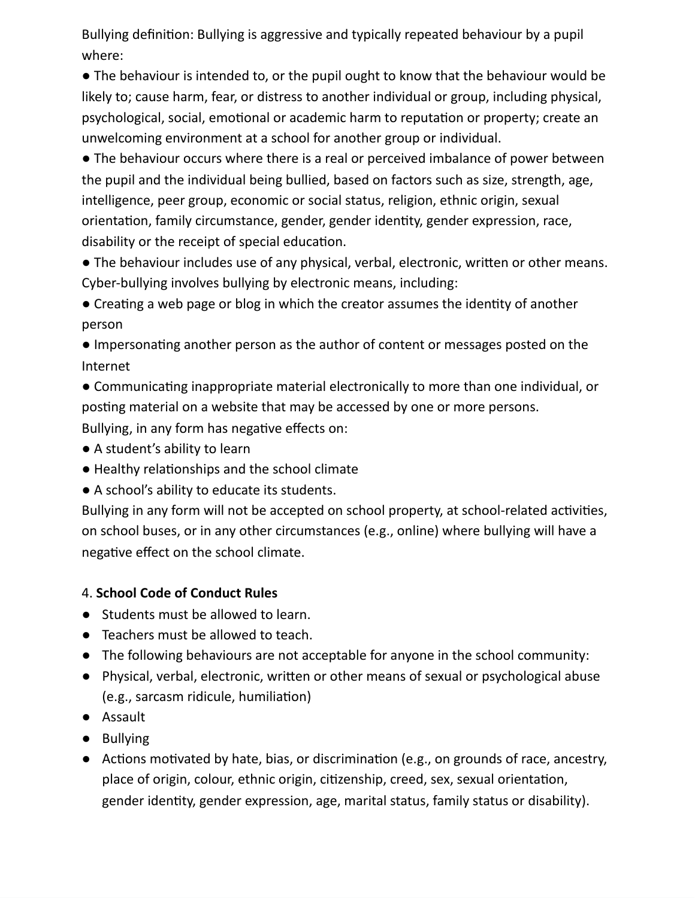Bullying definition: Bullying is aggressive and typically repeated behaviour by a pupil where:

● The behaviour is intended to, or the pupil ought to know that the behaviour would be likely to; cause harm, fear, or distress to another individual or group, including physical, psychological, social, emotional or academic harm to reputation or property; create an unwelcoming environment at a school for another group or individual.

● The behaviour occurs where there is a real or perceived imbalance of power between the pupil and the individual being bullied, based on factors such as size, strength, age, intelligence, peer group, economic or social status, religion, ethnic origin, sexual orientation, family circumstance, gender, gender identity, gender expression, race, disability or the receipt of special education.

● The behaviour includes use of any physical, verbal, electronic, written or other means. Cyber-bullying involves bullying by electronic means, including:

● Creating a web page or blog in which the creator assumes the identity of another person

● Impersonating another person as the author of content or messages posted on the Internet

● Communicating inappropriate material electronically to more than one individual, or posting material on a website that may be accessed by one or more persons.

Bullying, in any form has negative effects on:

- A student's ability to learn
- Healthy relationships and the school climate
- A school's ability to educate its students.

Bullying in any form will not be accepted on school property, at school-related activities, on school buses, or in any other circumstances (e.g., online) where bullying will have a negative effect on the school climate.

## 4. **School Code of Conduct Rules**

- Students must be allowed to learn.
- Teachers must be allowed to teach.
- The following behaviours are not acceptable for anyone in the school community:
- Physical, verbal, electronic, written or other means of sexual or psychological abuse (e.g., sarcasm ridicule, humiliation)
- Assault
- Bullying
- Actions motivated by hate, bias, or discrimination (e.g., on grounds of race, ancestry, place of origin, colour, ethnic origin, citizenship, creed, sex, sexual orientation, gender identity, gender expression, age, marital status, family status or disability).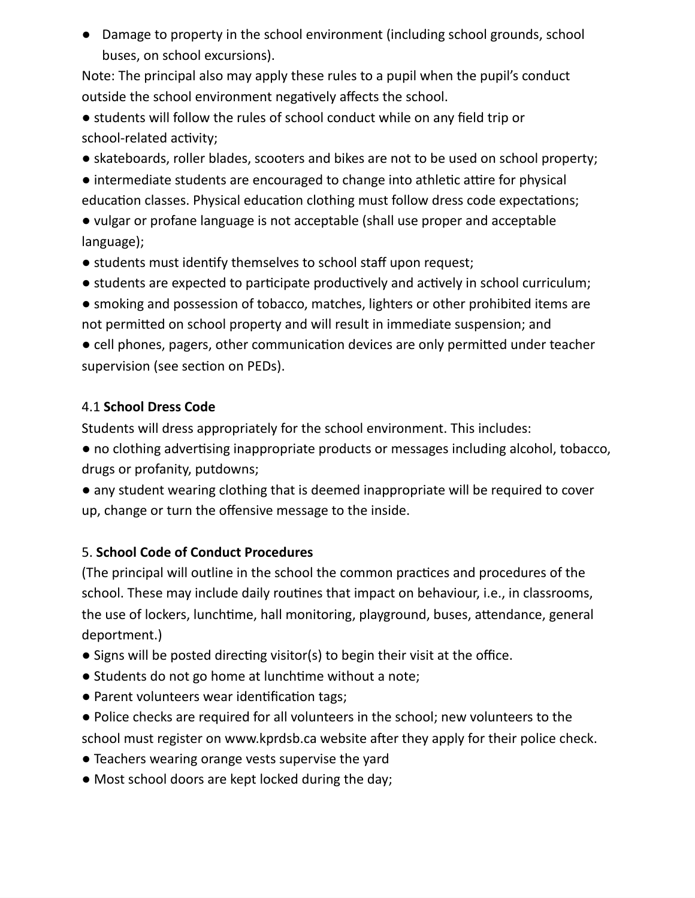● Damage to property in the school environment (including school grounds, school buses, on school excursions).

Note: The principal also may apply these rules to a pupil when the pupil's conduct outside the school environment negatively affects the school.

● students will follow the rules of school conduct while on any field trip or school-related activity;

● skateboards, roller blades, scooters and bikes are not to be used on school property;

● intermediate students are encouraged to change into athletic attire for physical education classes. Physical education clothing must follow dress code expectations;

● vulgar or profane language is not acceptable (shall use proper and acceptable language);

- students must identify themselves to school staff upon request;
- students are expected to participate productively and actively in school curriculum;
- smoking and possession of tobacco, matches, lighters or other prohibited items are not permitted on school property and will result in immediate suspension; and

● cell phones, pagers, other communication devices are only permitted under teacher supervision (see section on PEDs).

#### 4.1 **School Dress Code**

Students will dress appropriately for the school environment. This includes:

● no clothing advertising inappropriate products or messages including alcohol, tobacco, drugs or profanity, putdowns;

● any student wearing clothing that is deemed inappropriate will be required to cover up, change or turn the offensive message to the inside.

## 5. **School Code of Conduct Procedures**

(The principal will outline in the school the common practices and procedures of the school. These may include daily routines that impact on behaviour, i.e., in classrooms, the use of lockers, lunchtime, hall monitoring, playground, buses, attendance, general deportment.)

- Signs will be posted directing visitor(s) to begin their visit at the office.
- Students do not go home at lunchtime without a note;
- Parent volunteers wear identification tags;
- Police checks are required for all volunteers in the school; new volunteers to the school must register on www.kprdsb.ca website after they apply for their police check.
- Teachers wearing orange vests supervise the yard
- Most school doors are kept locked during the day;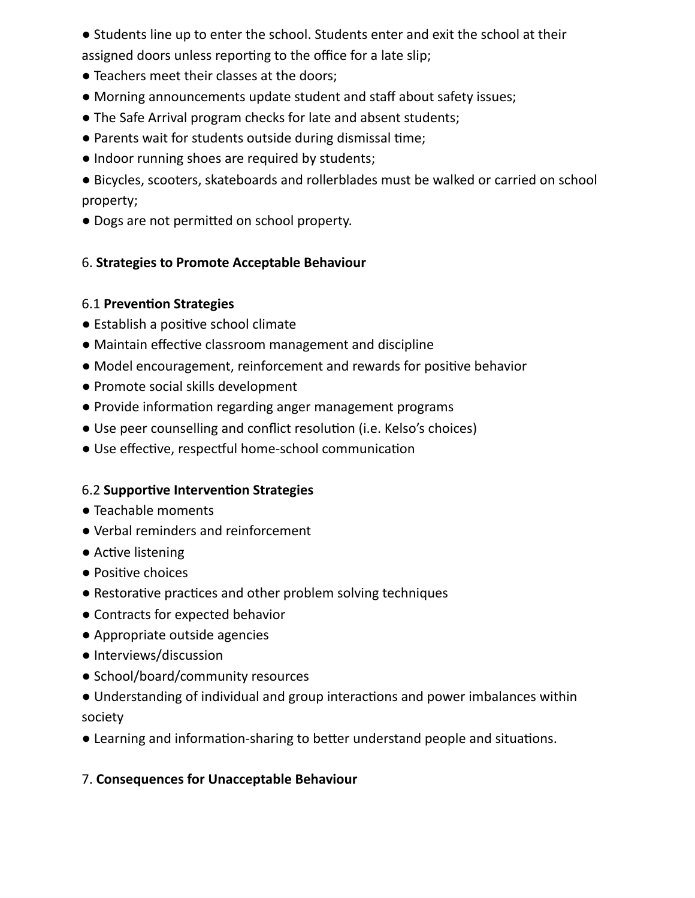● Students line up to enter the school. Students enter and exit the school at their assigned doors unless reporting to the office for a late slip;

- Teachers meet their classes at the doors;
- Morning announcements update student and staff about safety issues;
- The Safe Arrival program checks for late and absent students;
- Parents wait for students outside during dismissal time;
- Indoor running shoes are required by students;

● Bicycles, scooters, skateboards and rollerblades must be walked or carried on school property;

● Dogs are not permitted on school property.

#### 6. **Strategies to Promote Acceptable Behaviour**

#### 6.1 **Prevention Strategies**

- Establish a positive school climate
- Maintain effective classroom management and discipline
- Model encouragement, reinforcement and rewards for positive behavior
- Promote social skills development
- Provide information regarding anger management programs
- Use peer counselling and conflict resolution (i.e. Kelso's choices)
- Use effective, respectful home-school communication

## 6.2 **Supportive Intervention Strategies**

- Teachable moments
- Verbal reminders and reinforcement
- Active listening
- Positive choices
- Restorative practices and other problem solving techniques
- Contracts for expected behavior
- Appropriate outside agencies
- Interviews/discussion
- School/board/community resources
- Understanding of individual and group interactions and power imbalances within society
- Learning and information-sharing to better understand people and situations.

## 7. **Consequences for Unacceptable Behaviour**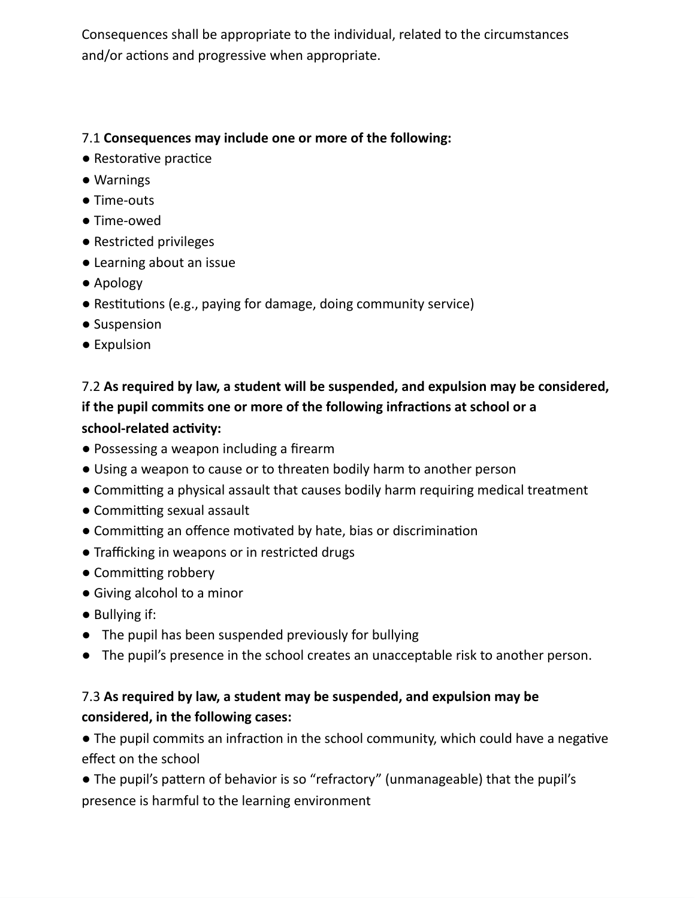Consequences shall be appropriate to the individual, related to the circumstances and/or actions and progressive when appropriate.

#### 7.1 **Consequences may include one or more of the following:**

- Restorative practice
- Warnings
- Time-outs
- Time-owed
- Restricted privileges
- Learning about an issue
- Apology
- Restitutions (e.g., paying for damage, doing community service)
- Suspension
- Expulsion

# 7.2 **As required by law, a student will be suspended, and expulsion may be considered, if the pupil commits one or more of the following infractions at school or a school-related activity:**

- Possessing a weapon including a firearm
- Using a weapon to cause or to threaten bodily harm to another person
- Committing a physical assault that causes bodily harm requiring medical treatment
- Committing sexual assault
- Committing an offence motivated by hate, bias or discrimination
- Trafficking in weapons or in restricted drugs
- Committing robbery
- Giving alcohol to a minor
- Bullying if:
- The pupil has been suspended previously for bullying
- The pupil's presence in the school creates an unacceptable risk to another person.

# 7.3 **As required by law, a student may be suspended, and expulsion may be considered, in the following cases:**

● The pupil commits an infraction in the school community, which could have a negative effect on the school

● The pupil's pattern of behavior is so "refractory" (unmanageable) that the pupil's presence is harmful to the learning environment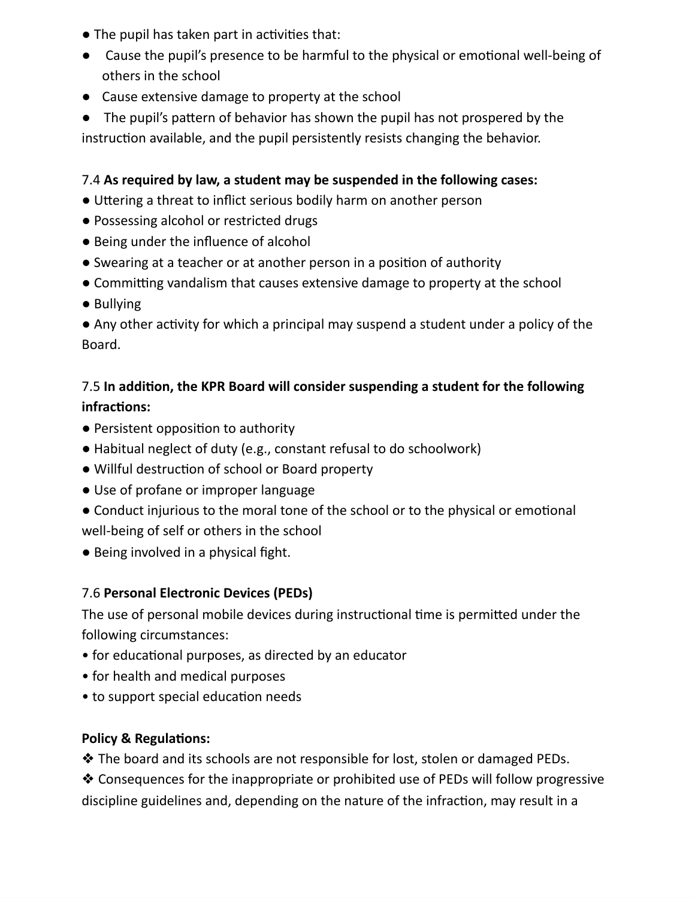- The pupil has taken part in activities that:
- Cause the pupil's presence to be harmful to the physical or emotional well-being of others in the school
- Cause extensive damage to property at the school

● The pupil's pattern of behavior has shown the pupil has not prospered by the instruction available, and the pupil persistently resists changing the behavior.

## 7.4 **As required by law, a student may be suspended in the following cases:**

- Uttering a threat to inflict serious bodily harm on another person
- Possessing alcohol or restricted drugs
- Being under the influence of alcohol
- Swearing at a teacher or at another person in a position of authority
- Committing vandalism that causes extensive damage to property at the school
- Bullying

● Any other activity for which a principal may suspend a student under a policy of the Board.

# 7.5 **In addition, the KPR Board will consider suspending a student for the following infractions:**

- Persistent opposition to authority
- Habitual neglect of duty (e.g., constant refusal to do schoolwork)
- Willful destruction of school or Board property
- Use of profane or improper language
- Conduct injurious to the moral tone of the school or to the physical or emotional well-being of self or others in the school
- Being involved in a physical fight.

## 7.6 **Personal Electronic Devices (PEDs)**

The use of personal mobile devices during instructional time is permitted under the following circumstances:

- for educational purposes, as directed by an educator
- for health and medical purposes
- to support special education needs

#### **Policy & Regulations:**

❖ The board and its schools are not responsible for lost, stolen or damaged PEDs.

❖ Consequences for the inappropriate or prohibited use of PEDs will follow progressive discipline guidelines and, depending on the nature of the infraction, may result in a